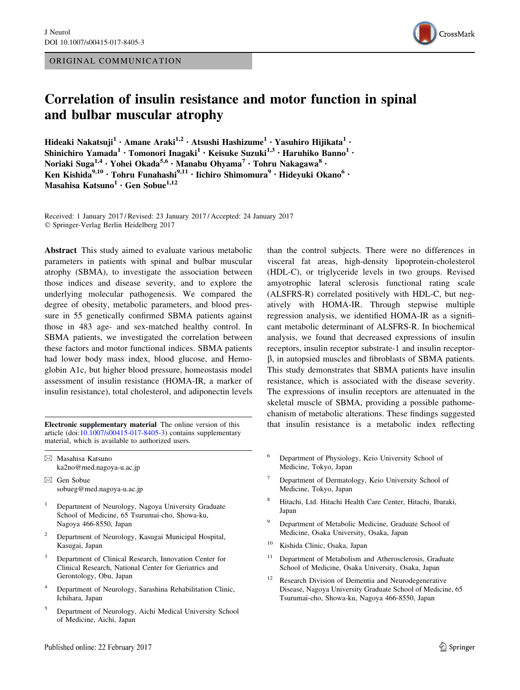ORIGINAL COMMUNICATION



# Correlation of insulin resistance and motor function in spinal and bulbar muscular atrophy

Hideaki Nakatsuji<sup>1</sup> • Amane Araki<sup>1,2</sup> • Atsushi Hashizume<sup>1</sup> • Yasuhiro Hijikata<sup>1</sup> • Shinichiro Yamada<sup>1</sup> · Tomonori Inagaki<sup>1</sup> · Keisuke Suzuki<sup>1,3</sup> · Haruhiko Banno<sup>1</sup> · Noriaki Suga<sup>1,4</sup> · Yohei Okada<sup>5,6</sup> · Manabu Ohyama<sup>7</sup> · Tohru Nakagawa<sup>8</sup> · Ken Kishida<sup>9,10</sup> · Tohru Funahashi<sup>9,11</sup> · Iichiro Shimomura<sup>9</sup> · Hideyuki Okano<sup>6</sup> · Masahisa Katsuno<sup>1</sup> · Gen Sobue<sup>1,12</sup>

Received: 1 January 2017 / Revised: 23 January 2017 / Accepted: 24 January 2017 - Springer-Verlag Berlin Heidelberg 2017

Abstract This study aimed to evaluate various metabolic parameters in patients with spinal and bulbar muscular atrophy (SBMA), to investigate the association between those indices and disease severity, and to explore the underlying molecular pathogenesis. We compared the degree of obesity, metabolic parameters, and blood pressure in 55 genetically confirmed SBMA patients against those in 483 age- and sex-matched healthy control. In SBMA patients, we investigated the correlation between these factors and motor functional indices. SBMA patients had lower body mass index, blood glucose, and Hemoglobin A1c, but higher blood pressure, homeostasis model assessment of insulin resistance (HOMA-IR, a marker of insulin resistance), total cholesterol, and adiponectin levels

article (doi:[10.1007/s00415-017-8405-3\)](http://dx.doi.org/10.1007/s00415-017-8405-3) contains supplementary material, which is available to authorized users.

- $\boxtimes$  Masahisa Katsuno ka2no@med.nagoya-u.ac.jp
- $\boxtimes$  Gen Sobue sobueg@med.nagoya-u.ac.jp
- <sup>1</sup> Department of Neurology, Nagoya University Graduate School of Medicine, 65 Tsurumai-cho, Showa-ku, Nagoya 466-8550, Japan
- <sup>2</sup> Department of Neurology, Kasugai Municipal Hospital, Kasugai, Japan
- <sup>3</sup> Department of Clinical Research, Innovation Center for Clinical Research, National Center for Geriatrics and Gerontology, Obu, Japan
- Department of Neurology, Sarashina Rehabilitation Clinic, Ichihara, Japan
- <sup>5</sup> Department of Neurology, Aichi Medical University School of Medicine, Aichi, Japan

than the control subjects. There were no differences in visceral fat areas, high-density lipoprotein-cholesterol (HDL-C), or triglyceride levels in two groups. Revised amyotrophic lateral sclerosis functional rating scale (ALSFRS-R) correlated positively with HDL-C, but negatively with HOMA-IR. Through stepwise multiple regression analysis, we identified HOMA-IR as a significant metabolic determinant of ALSFRS-R. In biochemical analysis, we found that decreased expressions of insulin receptors, insulin receptor substrate-1 and insulin receptor- $\beta$ , in autopsied muscles and fibroblasts of SBMA patients. This study demonstrates that SBMA patients have insulin resistance, which is associated with the disease severity. The expressions of insulin receptors are attenuated in the skeletal muscle of SBMA, providing a possible pathomechanism of metabolic alterations. These findings suggested Electronic supplementary material The online version of this that insulin resistance is a metabolic index reflecting

- <sup>6</sup> Department of Physiology, Keio University School of Medicine, Tokyo, Japan
- Department of Dermatology, Keio University School of Medicine, Tokyo, Japan
- <sup>8</sup> Hitachi, Ltd. Hitachi Health Care Center, Hitachi, Ibaraki, Japan
- Department of Metabolic Medicine, Graduate School of Medicine, Osaka University, Osaka, Japan
- <sup>10</sup> Kishida Clinic, Osaka, Japan
- <sup>11</sup> Department of Metabolism and Atherosclerosis, Graduate School of Medicine, Osaka University, Osaka, Japan
- <sup>12</sup> Research Division of Dementia and Neurodegenerative Disease, Nagoya University Graduate School of Medicine, 65 Tsurumai-cho, Showa-ku, Nagoya 466-8550, Japan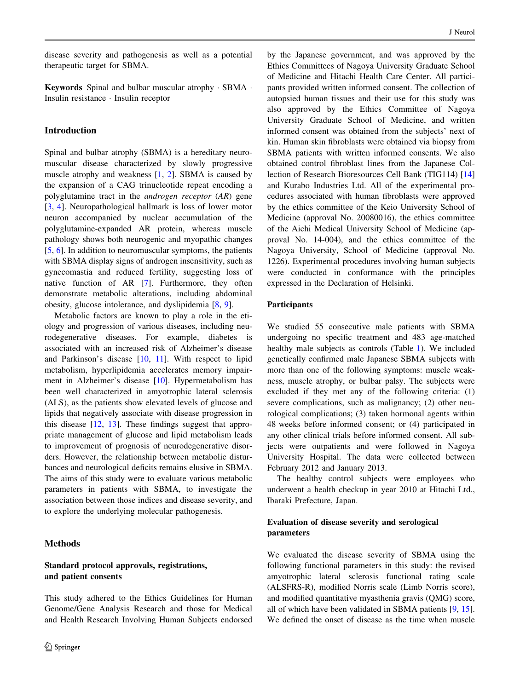disease severity and pathogenesis as well as a potential therapeutic target for SBMA.

Keywords Spinal and bulbar muscular atrophy · SBMA · Insulin resistance - Insulin receptor

# Introduction

Spinal and bulbar atrophy (SBMA) is a hereditary neuromuscular disease characterized by slowly progressive muscle atrophy and weakness [[1,](#page-7-0) [2\]](#page-7-0). SBMA is caused by the expansion of a CAG trinucleotide repeat encoding a polyglutamine tract in the androgen receptor (AR) gene [\[3](#page-7-0), [4](#page-7-0)]. Neuropathological hallmark is loss of lower motor neuron accompanied by nuclear accumulation of the polyglutamine-expanded AR protein, whereas muscle pathology shows both neurogenic and myopathic changes [\[5](#page-7-0), [6](#page-7-0)]. In addition to neuromuscular symptoms, the patients with SBMA display signs of androgen insensitivity, such as gynecomastia and reduced fertility, suggesting loss of native function of AR [\[7](#page-7-0)]. Furthermore, they often demonstrate metabolic alterations, including abdominal obesity, glucose intolerance, and dyslipidemia [\[8](#page-7-0), [9](#page-7-0)].

Metabolic factors are known to play a role in the etiology and progression of various diseases, including neurodegenerative diseases. For example, diabetes is associated with an increased risk of Alzheimer's disease and Parkinson's disease [\[10](#page-7-0), [11\]](#page-7-0). With respect to lipid metabolism, hyperlipidemia accelerates memory impairment in Alzheimer's disease [\[10](#page-7-0)]. Hypermetabolism has been well characterized in amyotrophic lateral sclerosis (ALS), as the patients show elevated levels of glucose and lipids that negatively associate with disease progression in this disease [[12,](#page-7-0) [13\]](#page-7-0). These findings suggest that appropriate management of glucose and lipid metabolism leads to improvement of prognosis of neurodegenerative disorders. However, the relationship between metabolic disturbances and neurological deficits remains elusive in SBMA. The aims of this study were to evaluate various metabolic parameters in patients with SBMA, to investigate the association between those indices and disease severity, and to explore the underlying molecular pathogenesis.

# Methods

# Standard protocol approvals, registrations, and patient consents

This study adhered to the Ethics Guidelines for Human Genome/Gene Analysis Research and those for Medical and Health Research Involving Human Subjects endorsed by the Japanese government, and was approved by the Ethics Committees of Nagoya University Graduate School of Medicine and Hitachi Health Care Center. All participants provided written informed consent. The collection of autopsied human tissues and their use for this study was also approved by the Ethics Committee of Nagoya University Graduate School of Medicine, and written informed consent was obtained from the subjects' next of kin. Human skin fibroblasts were obtained via biopsy from SBMA patients with written informed consents. We also obtained control fibroblast lines from the Japanese Collection of Research Bioresources Cell Bank (TIG114) [[14\]](#page-7-0) and Kurabo Industries Ltd. All of the experimental procedures associated with human fibroblasts were approved by the ethics committee of the Keio University School of Medicine (approval No. 20080016), the ethics committee of the Aichi Medical University School of Medicine (approval No. 14-004), and the ethics committee of the Nagoya University, School of Medicine (approval No. 1226). Experimental procedures involving human subjects were conducted in conformance with the principles expressed in the Declaration of Helsinki.

#### Participants

We studied 55 consecutive male patients with SBMA undergoing no specific treatment and 483 age-matched healthy male subjects as controls (Table [1](#page-2-0)). We included genetically confirmed male Japanese SBMA subjects with more than one of the following symptoms: muscle weakness, muscle atrophy, or bulbar palsy. The subjects were excluded if they met any of the following criteria: (1) severe complications, such as malignancy; (2) other neurological complications; (3) taken hormonal agents within 48 weeks before informed consent; or (4) participated in any other clinical trials before informed consent. All subjects were outpatients and were followed in Nagoya University Hospital. The data were collected between February 2012 and January 2013.

The healthy control subjects were employees who underwent a health checkup in year 2010 at Hitachi Ltd., Ibaraki Prefecture, Japan.

# Evaluation of disease severity and serological parameters

We evaluated the disease severity of SBMA using the following functional parameters in this study: the revised amyotrophic lateral sclerosis functional rating scale (ALSFRS-R), modified Norris scale (Limb Norris score), and modified quantitative myasthenia gravis (QMG) score, all of which have been validated in SBMA patients [\[9](#page-7-0), [15](#page-7-0)]. We defined the onset of disease as the time when muscle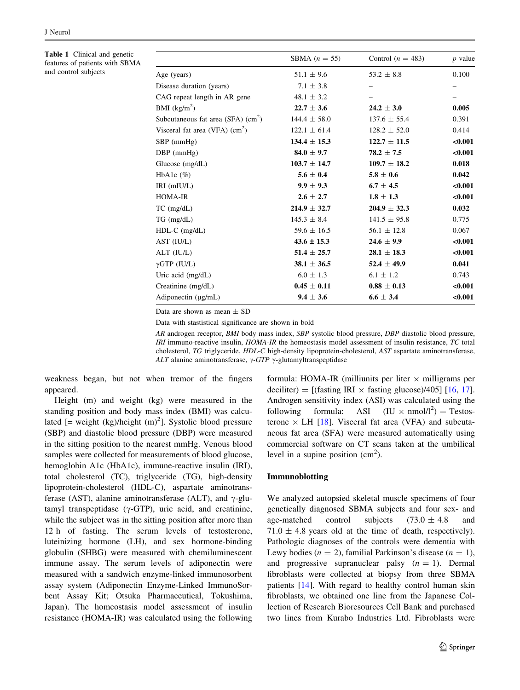<span id="page-2-0"></span>Table 1 Clinical and genetic features of patients with SBMA and control subjects

|                                                    | SBMA $(n = 55)$  | Control $(n = 483)$ | $p$ value |
|----------------------------------------------------|------------------|---------------------|-----------|
| Age (years)                                        | $51.1 \pm 9.6$   | $53.2 \pm 8.8$      | 0.100     |
| Disease duration (years)                           | $7.1 \pm 3.8$    |                     |           |
| CAG repeat length in AR gene                       | $48.1 \pm 3.2$   |                     |           |
| BMI $(kg/m^2)$                                     | $22.7 \pm 3.6$   | $24.2 \pm 3.0$      | 0.005     |
| Subcutaneous fat area (SFA) $\text{(cm}^2\text{)}$ | $144.4 \pm 58.0$ | $137.6 \pm 55.4$    | 0.391     |
| Visceral fat area (VFA) $\text{(cm}^2\text{)}$     | $122.1 \pm 61.4$ | $128.2 \pm 52.0$    | 0.414     |
| $SBP$ (mmHg)                                       | $134.4 \pm 15.3$ | $122.7 \pm 11.5$    | < 0.001   |
| $DBP$ (mmHg)                                       | $84.0 \pm 9.7$   | $78.2 \pm 7.5$      | < 0.001   |
| Glucose $(mg/dL)$                                  | $103.7 \pm 14.7$ | $109.7 \pm 18.2$    | 0.018     |
| HbA1c $(\%)$                                       | $5.6 \pm 0.4$    | $5.8 \pm 0.6$       | 0.042     |
| IRI (mIU/L)                                        | $9.9 \pm 9.3$    | $6.7 \pm 4.5$       | $0.001$   |
| HOMA-IR                                            | $2.6 \pm 2.7$    | $1.8 \pm 1.3$       | $0.001$   |
| $TC$ (mg/dL)                                       | $214.9 \pm 32.7$ | $204.9 \pm 32.3$    | 0.032     |
| $TG$ (mg/dL)                                       | $145.3 \pm 8.4$  | $141.5 \pm 95.8$    | 0.775     |
| HDL-C (mg/dL)                                      | $59.6 \pm 16.5$  | $56.1 \pm 12.8$     | 0.067     |
| AST (IU/L)                                         | $43.6 \pm 15.3$  | $24.6 \pm 9.9$      | < 0.001   |
| ALT (IU/L)                                         | $51.4 \pm 25.7$  | $28.1 \pm 18.3$     | $0.001$   |
| $\gamma$ GTP (IU/L)                                | $38.1 \pm 36.5$  | $52.4 \pm 49.9$     | 0.041     |
| Uric acid (mg/dL)                                  | $6.0 \pm 1.3$    | $6.1 \pm 1.2$       | 0.743     |
| Creatinine (mg/dL)                                 | $0.45 \pm 0.11$  | $0.88 \pm 0.13$     | $0.001$   |
| Adiponectin $(\mu g/mL)$                           | $9.4 \pm 3.6$    | $6.6 \pm 3.4$       | < 0.001   |
|                                                    |                  |                     |           |

Data are shown as mean  $\pm$  SD

Data with stastistical significance are shown in bold

AR androgen receptor, BMI body mass index, SBP systolic blood pressure, DBP diastolic blood pressure, IRI immuno-reactive insulin, HOMA-IR the homeostasis model assessment of insulin resistance, TC total cholesterol, TG triglyceride, HDL-C high-density lipoprotein-cholesterol, AST aspartate aminotransferase, ALT alanine aminotransferase,  $\gamma$ -GTP  $\gamma$ -glutamyltranspeptidase

weakness began, but not when tremor of the fingers appeared.

Height (m) and weight (kg) were measured in the standing position and body mass index (BMI) was calculated  $[$  = weight (kg)/height  $(m)^2$ ]. Systolic blood pressure (SBP) and diastolic blood pressure (DBP) were measured in the sitting position to the nearest mmHg. Venous blood samples were collected for measurements of blood glucose, hemoglobin A1c (HbA1c), immune-reactive insulin (IRI), total cholesterol (TC), triglyceride (TG), high-density lipoprotein-cholesterol (HDL-C), aspartate aminotransferase (AST), alanine aminotransferase (ALT), and  $\gamma$ -glutamyl transpeptidase ( $\gamma$ -GTP), uric acid, and creatinine, while the subject was in the sitting position after more than 12 h of fasting. The serum levels of testosterone, luteinizing hormone (LH), and sex hormone-binding globulin (SHBG) were measured with chemiluminescent immune assay. The serum levels of adiponectin were measured with a sandwich enzyme-linked immunosorbent assay system (Adiponectin Enzyme-Linked ImmunoSorbent Assay Kit; Otsuka Pharmaceutical, Tokushima, Japan). The homeostasis model assessment of insulin resistance (HOMA-IR) was calculated using the following formula: HOMA-IR (milliunits per liter  $\times$  milligrams per deciliter) = [(fasting IRI  $\times$  fasting glucose)/405] [[16,](#page-7-0) [17](#page-7-0)]. Androgen sensitivity index (ASI) was calculated using the following formula: ASI  $(IU \times nmol/l^2) = Testos$ terone  $\times$  LH [[18\]](#page-7-0). Visceral fat area (VFA) and subcutaneous fat area (SFA) were measured automatically using commercial software on CT scans taken at the umbilical level in a supine position  $(cm<sup>2</sup>)$ .

#### Immunoblotting

We analyzed autopsied skeletal muscle specimens of four genetically diagnosed SBMA subjects and four sex- and age-matched control subjects  $(73.0 \pm 4.8 \text{ and}$  $71.0 \pm 4.8$  years old at the time of death, respectively). Pathologic diagnoses of the controls were dementia with Lewy bodies ( $n = 2$ ), familial Parkinson's disease ( $n = 1$ ), and progressive supranuclear palsy  $(n = 1)$ . Dermal fibroblasts were collected at biopsy from three SBMA patients [[14\]](#page-7-0). With regard to healthy control human skin fibroblasts, we obtained one line from the Japanese Collection of Research Bioresources Cell Bank and purchased two lines from Kurabo Industries Ltd. Fibroblasts were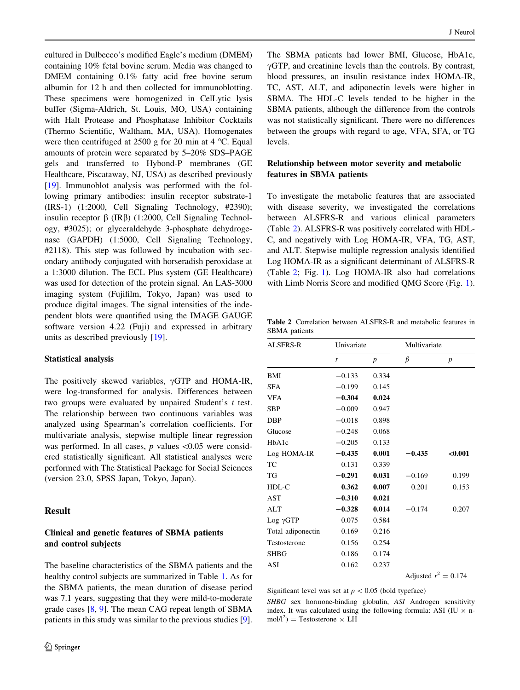cultured in Dulbecco's modified Eagle's medium (DMEM) containing 10% fetal bovine serum. Media was changed to DMEM containing 0.1% fatty acid free bovine serum albumin for 12 h and then collected for immunoblotting. These specimens were homogenized in CelLytic lysis buffer (Sigma-Aldrich, St. Louis, MO, USA) containing with Halt Protease and Phosphatase Inhibitor Cocktails (Thermo Scientific, Waltham, MA, USA). Homogenates were then centrifuged at 2500 g for 20 min at  $4^{\circ}$ C. Equal amounts of protein were separated by 5–20% SDS–PAGE gels and transferred to Hybond-P membranes (GE Healthcare, Piscataway, NJ, USA) as described previously [\[19](#page-7-0)]. Immunoblot analysis was performed with the following primary antibodies: insulin receptor substrate-1 (IRS-1) (1:2000, Cell Signaling Technology, #2390); insulin receptor  $\beta$  (IR $\beta$ ) (1:2000, Cell Signaling Technology, #3025); or glyceraldehyde 3-phosphate dehydrogenase (GAPDH) (1:5000, Cell Signaling Technology, #2118). This step was followed by incubation with secondary antibody conjugated with horseradish peroxidase at a 1:3000 dilution. The ECL Plus system (GE Healthcare) was used for detection of the protein signal. An LAS-3000 imaging system (Fujifilm, Tokyo, Japan) was used to produce digital images. The signal intensities of the independent blots were quantified using the IMAGE GAUGE software version 4.22 (Fuji) and expressed in arbitrary units as described previously [[19\]](#page-7-0).

#### Statistical analysis

The positively skewed variables,  $\gamma GTP$  and HOMA-IR, were log-transformed for analysis. Differences between two groups were evaluated by unpaired Student's t test. The relationship between two continuous variables was analyzed using Spearman's correlation coefficients. For multivariate analysis, stepwise multiple linear regression was performed. In all cases,  $p$  values  $\leq 0.05$  were considered statistically significant. All statistical analyses were performed with The Statistical Package for Social Sciences (version 23.0, SPSS Japan, Tokyo, Japan).

## Result

# Clinical and genetic features of SBMA patients and control subjects

The baseline characteristics of the SBMA patients and the healthy control subjects are summarized in Table [1](#page-2-0). As for the SBMA patients, the mean duration of disease period was 7.1 years, suggesting that they were mild-to-moderate grade cases [\[8](#page-7-0), [9\]](#page-7-0). The mean CAG repeat length of SBMA patients in this study was similar to the previous studies [\[9](#page-7-0)].

The SBMA patients had lower BMI, Glucose, HbA1c,  $\gamma$ GTP, and creatinine levels than the controls. By contrast, blood pressures, an insulin resistance index HOMA-IR, TC, AST, ALT, and adiponectin levels were higher in SBMA. The HDL-C levels tended to be higher in the SBMA patients, although the difference from the controls was not statistically significant. There were no differences between the groups with regard to age, VFA, SFA, or TG levels.

# Relationship between motor severity and metabolic features in SBMA patients

To investigate the metabolic features that are associated with disease severity, we investigated the correlations between ALSFRS-R and various clinical parameters (Table 2). ALSFRS-R was positively correlated with HDL-C, and negatively with Log HOMA-IR, VFA, TG, AST, and ALT. Stepwise multiple regression analysis identified Log HOMA-IR as a significant determinant of ALSFRS-R (Table 2; Fig. [1](#page-4-0)). Log HOMA-IR also had correlations with Limb Norris Score and modified QMG Score (Fig. [1](#page-4-0)).

Table 2 Correlation between ALSFRS-R and metabolic features in SBMA patients

| ALSFRS-R          |          | Univariate       |          | Multivariate           |  |  |
|-------------------|----------|------------------|----------|------------------------|--|--|
|                   | r        | $\boldsymbol{p}$ | β        | $\boldsymbol{p}$       |  |  |
| BMI               | $-0.133$ | 0.334            |          |                        |  |  |
| SFA               | $-0.199$ | 0.145            |          |                        |  |  |
| <b>VFA</b>        | $-0.304$ | 0.024            |          |                        |  |  |
| SBP               | $-0.009$ | 0.947            |          |                        |  |  |
| DBP               | $-0.018$ | 0.898            |          |                        |  |  |
| Glucose           | $-0.248$ | 0.068            |          |                        |  |  |
| HbA1c             | $-0.205$ | 0.133            |          |                        |  |  |
| Log HOMA-IR       | $-0.435$ | 0.001            | $-0.435$ | < 0.001                |  |  |
| ТC                | 0.131    | 0.339            |          |                        |  |  |
| TG                | $-0.291$ | 0.031            | $-0.169$ | 0.199                  |  |  |
| HDL-C             | 0.362    | 0.007            | 0.201    | 0.153                  |  |  |
| AST               | $-0.310$ | 0.021            |          |                        |  |  |
| ALT               | $-0.328$ | 0.014            | $-0.174$ | 0.207                  |  |  |
| $Log \gamma GTP$  | 0.075    | 0.584            |          |                        |  |  |
| Total adiponectin | 0.169    | 0.216            |          |                        |  |  |
| Testosterone      | 0.156    | 0.254            |          |                        |  |  |
| SHBG              | 0.186    | 0.174            |          |                        |  |  |
| ASI               | 0.162    | 0.237            |          |                        |  |  |
|                   |          |                  |          | Adjusted $r^2 = 0.174$ |  |  |

Significant level was set at  $p < 0.05$  (bold typeface)

SHBG sex hormone-binding globulin, ASI Androgen sensitivity index. It was calculated using the following formula: ASI (IU  $\times$  n $mol/l<sup>2</sup>$ ) = Testosterone  $\times$  LH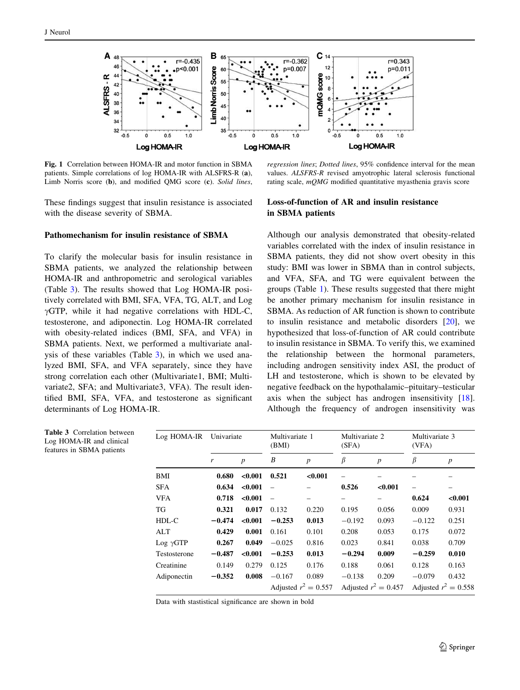<span id="page-4-0"></span>

Fig. 1 Correlation between HOMA-IR and motor function in SBMA patients. Simple correlations of log HOMA-IR with ALSFRS-R (a), Limb Norris score (b), and modified QMG score (c). Solid lines,

These findings suggest that insulin resistance is associated with the disease severity of SBMA.

## regression lines; Dotted lines, 95% confidence interval for the mean values. ALSFRS-R revised amyotrophic lateral sclerosis functional rating scale, mQMG modified quantitative myasthenia gravis score

# Loss-of-function of AR and insulin resistance in SBMA patients

#### Pathomechanism for insulin resistance of SBMA

To clarify the molecular basis for insulin resistance in SBMA patients, we analyzed the relationship between HOMA-IR and anthropometric and serological variables (Table 3). The results showed that Log HOMA-IR positively correlated with BMI, SFA, VFA, TG, ALT, and Log  $\gamma$ GTP, while it had negative correlations with HDL-C, testosterone, and adiponectin. Log HOMA-IR correlated with obesity-related indices (BMI, SFA, and VFA) in SBMA patients. Next, we performed a multivariate analysis of these variables (Table 3), in which we used analyzed BMI, SFA, and VFA separately, since they have strong correlation each other (Multivariate1, BMI; Multivariate2, SFA; and Multivariate3, VFA). The result identified BMI, SFA, VFA, and testosterone as significant determinants of Log HOMA-IR.

Table 3 Correlation between Log HOMA-IR and clinical features in SBMA patients

Although our analysis demonstrated that obesity-related variables correlated with the index of insulin resistance in SBMA patients, they did not show overt obesity in this study: BMI was lower in SBMA than in control subjects, and VFA, SFA, and TG were equivalent between the groups (Table [1\)](#page-2-0). These results suggested that there might be another primary mechanism for insulin resistance in SBMA. As reduction of AR function is shown to contribute to insulin resistance and metabolic disorders [[20\]](#page-7-0), we hypothesized that loss-of-function of AR could contribute to insulin resistance in SBMA. To verify this, we examined the relationship between the hormonal parameters, including androgen sensitivity index ASI, the product of LH and testosterone, which is shown to be elevated by negative feedback on the hypothalamic–pituitary–testicular axis when the subject has androgen insensitivity [\[18](#page-7-0)]. Although the frequency of androgen insensitivity was

| Log HOMA-IR      | Univariate |                  | Multivariate 1<br>(BMI) |                  | Multivariate 2<br>(SFA) |                  | Multivariate 3<br>(VFA) |                  |
|------------------|------------|------------------|-------------------------|------------------|-------------------------|------------------|-------------------------|------------------|
|                  | r          | $\boldsymbol{p}$ | B                       | $\boldsymbol{p}$ | β                       | $\boldsymbol{p}$ | $\beta$                 | $\boldsymbol{p}$ |
| BMI              | 0.680      | < 0.001          | 0.521                   | < 0.001          |                         |                  |                         |                  |
| <b>SFA</b>       | 0.634      | < 0.001          |                         |                  | 0.526                   | < 0.001          | -                       |                  |
| VFA              | 0.718      | < 0.001          | $\equiv$                |                  |                         |                  | 0.624                   | < 0.001          |
| TG               | 0.321      | 0.017            | 0.132                   | 0.220            | 0.195                   | 0.056            | 0.009                   | 0.931            |
| HDL-C            | $-0.474$   | < 0.001          | $-0.253$                | 0.013            | $-0.192$                | 0.093            | $-0.122$                | 0.251            |
| ALT              | 0.429      | 0.001            | 0.161                   | 0.101            | 0.208                   | 0.053            | 0.175                   | 0.072            |
| $Log \gamma GTP$ | 0.267      | 0.049            | $-0.025$                | 0.816            | 0.023                   | 0.841            | 0.038                   | 0.709            |
| Testosterone     | $-0.487$   | < 0.001          | $-0.253$                | 0.013            | $-0.294$                | 0.009            | $-0.259$                | 0.010            |
| Creatinine       | 0.149      | 0.279            | 0.125                   | 0.176            | 0.188                   | 0.061            | 0.128                   | 0.163            |
| Adiponectin      | $-0.352$   | 0.008            | $-0.167$                | 0.089            | $-0.138$                | 0.209            | $-0.079$                | 0.432            |
|                  |            |                  | Adjusted $r^2 = 0.557$  |                  | Adjusted $r^2 = 0.457$  |                  | Adjusted $r^2 = 0.558$  |                  |

Data with stastistical significance are shown in bold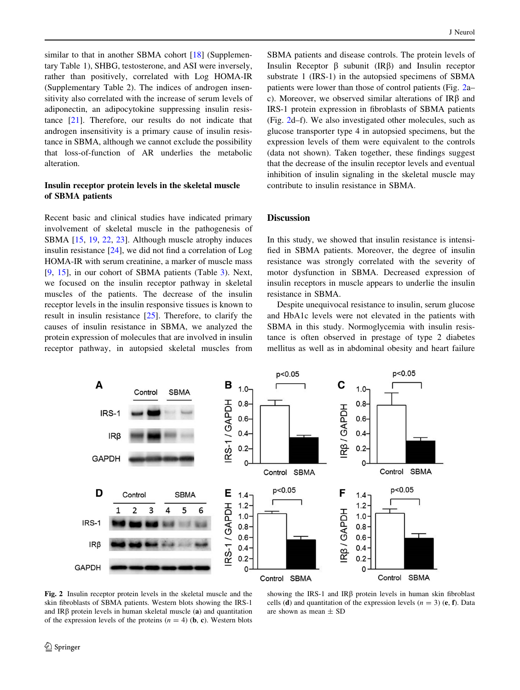similar to that in another SBMA cohort [[18\]](#page-7-0) (Supplementary Table 1), SHBG, testosterone, and ASI were inversely, rather than positively, correlated with Log HOMA-IR (Supplementary Table 2). The indices of androgen insensitivity also correlated with the increase of serum levels of adiponectin, an adipocytokine suppressing insulin resistance [\[21](#page-7-0)]. Therefore, our results do not indicate that androgen insensitivity is a primary cause of insulin resistance in SBMA, although we cannot exclude the possibility that loss-of-function of AR underlies the metabolic alteration.

## Insulin receptor protein levels in the skeletal muscle of SBMA patients

Recent basic and clinical studies have indicated primary involvement of skeletal muscle in the pathogenesis of SBMA [[15,](#page-7-0) [19,](#page-7-0) [22](#page-7-0), [23\]](#page-7-0). Although muscle atrophy induces insulin resistance  $[24]$  $[24]$ , we did not find a correlation of Log HOMA-IR with serum creatinine, a marker of muscle mass [\[9](#page-7-0), [15\]](#page-7-0), in our cohort of SBMA patients (Table [3](#page-4-0)). Next, we focused on the insulin receptor pathway in skeletal muscles of the patients. The decrease of the insulin receptor levels in the insulin responsive tissues is known to result in insulin resistance  $[25]$  $[25]$ . Therefore, to clarify the causes of insulin resistance in SBMA, we analyzed the protein expression of molecules that are involved in insulin receptor pathway, in autopsied skeletal muscles from SBMA patients and disease controls. The protein levels of Insulin Receptor  $\beta$  subunit (IR $\beta$ ) and Insulin receptor substrate 1 (IRS-1) in the autopsied specimens of SBMA patients were lower than those of control patients (Fig. 2a– c). Moreover, we observed similar alterations of  $IR\beta$  and IRS-1 protein expression in fibroblasts of SBMA patients (Fig. 2d–f). We also investigated other molecules, such as glucose transporter type 4 in autopsied specimens, but the expression levels of them were equivalent to the controls (data not shown). Taken together, these findings suggest that the decrease of the insulin receptor levels and eventual inhibition of insulin signaling in the skeletal muscle may contribute to insulin resistance in SBMA.

## Discussion

In this study, we showed that insulin resistance is intensified in SBMA patients. Moreover, the degree of insulin resistance was strongly correlated with the severity of motor dysfunction in SBMA. Decreased expression of insulin receptors in muscle appears to underlie the insulin resistance in SBMA.

Despite unequivocal resistance to insulin, serum glucose and HbA1c levels were not elevated in the patients with SBMA in this study. Normoglycemia with insulin resistance is often observed in prestage of type 2 diabetes mellitus as well as in abdominal obesity and heart failure



Fig. 2 Insulin receptor protein levels in the skeletal muscle and the skin fibroblasts of SBMA patients. Western blots showing the IRS-1 and  $IR\beta$  protein levels in human skeletal muscle (a) and quantitation of the expression levels of the proteins  $(n = 4)$  (**b**, **c**). Western blots

showing the IRS-1 and IR $\beta$  protein levels in human skin fibroblast cells (d) and quantitation of the expression levels  $(n = 3)$  (e, f). Data are shown as mean  $\pm$  SD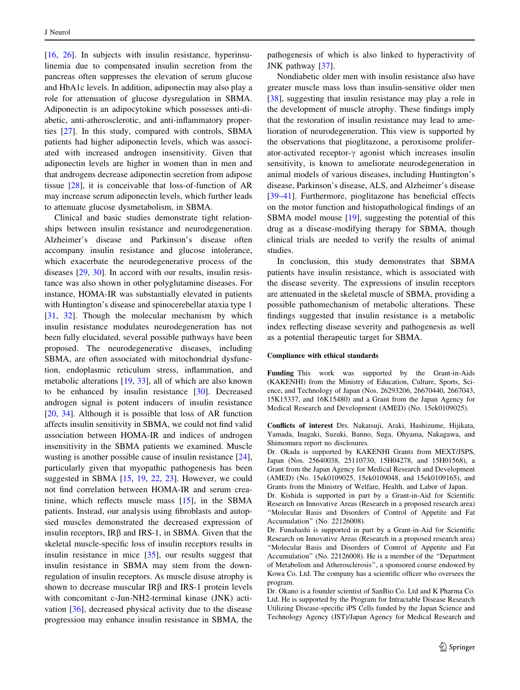[\[16](#page-7-0), [26\]](#page-7-0). In subjects with insulin resistance, hyperinsulinemia due to compensated insulin secretion from the pancreas often suppresses the elevation of serum glucose and HbA1c levels. In addition, adiponectin may also play a role for attenuation of glucose dysregulation in SBMA. Adiponectin is an adipocytokine which possesses anti-diabetic, anti-atherosclerotic, and anti-inflammatory properties [[27\]](#page-7-0). In this study, compared with controls, SBMA patients had higher adiponectin levels, which was associated with increased androgen insensitivity. Given that adiponectin levels are higher in women than in men and that androgens decrease adiponectin secretion from adipose tissue [\[28](#page-7-0)], it is conceivable that loss-of-function of AR may increase serum adiponectin levels, which further leads to attenuate glucose dysmetabolism, in SBMA.

Clinical and basic studies demonstrate tight relationships between insulin resistance and neurodegeneration. Alzheimer's disease and Parkinson's disease often accompany insulin resistance and glucose intolerance, which exacerbate the neurodegenerative process of the diseases [\[29](#page-7-0), [30](#page-7-0)]. In accord with our results, insulin resistance was also shown in other polyglutamine diseases. For instance, HOMA-IR was substantially elevated in patients with Huntington's disease and spinocerebellar ataxia type 1 [\[31](#page-7-0), [32\]](#page-7-0). Though the molecular mechanism by which insulin resistance modulates neurodegeneration has not been fully elucidated, several possible pathways have been proposed. The neurodegenerative diseases, including SBMA, are often associated with mitochondrial dysfunction, endoplasmic reticulum stress, inflammation, and metabolic alterations [[19,](#page-7-0) [33](#page-7-0)], all of which are also known to be enhanced by insulin resistance [\[30](#page-7-0)]. Decreased androgen signal is potent inducers of insulin resistance [\[20](#page-7-0), [34\]](#page-8-0). Although it is possible that loss of AR function affects insulin sensitivity in SBMA, we could not find valid association between HOMA-IR and indices of androgen insensitivity in the SBMA patients we examined. Muscle wasting is another possible cause of insulin resistance [\[24](#page-7-0)], particularly given that myopathic pathogenesis has been suggested in SBMA [[15,](#page-7-0) [19,](#page-7-0) [22](#page-7-0), [23](#page-7-0)]. However, we could not find correlation between HOMA-IR and serum creatinine, which reflects muscle mass  $[15]$  $[15]$ , in the SBMA patients. Instead, our analysis using fibroblasts and autopsied muscles demonstrated the decreased expression of insulin receptors,  $IR\beta$  and IRS-1, in SBMA. Given that the skeletal muscle-specific loss of insulin receptors results in insulin resistance in mice [[35\]](#page-8-0), our results suggest that insulin resistance in SBMA may stem from the downregulation of insulin receptors. As muscle disuse atrophy is shown to decrease muscular  $IR\beta$  and IRS-1 protein levels with concomitant c-Jun-NH2-terminal kinase (JNK) activation [[36\]](#page-8-0), decreased physical activity due to the disease progression may enhance insulin resistance in SBMA, the pathogenesis of which is also linked to hyperactivity of JNK pathway [\[37](#page-8-0)].

Nondiabetic older men with insulin resistance also have greater muscle mass loss than insulin-sensitive older men [\[38](#page-8-0)], suggesting that insulin resistance may play a role in the development of muscle atrophy. These findings imply that the restoration of insulin resistance may lead to amelioration of neurodegeneration. This view is supported by the observations that pioglitazone, a peroxisome proliferator-activated receptor- $\gamma$  agonist which increases insulin sensitivity, is known to ameliorate neurodegeneration in animal models of various diseases, including Huntington's disease, Parkinson's disease, ALS, and Alzheimer's disease [\[39–41](#page-8-0)]. Furthermore, pioglitazone has beneficial effects on the motor function and histopathological findings of an SBMA model mouse [[19\]](#page-7-0), suggesting the potential of this drug as a disease-modifying therapy for SBMA, though clinical trials are needed to verify the results of animal studies.

In conclusion, this study demonstrates that SBMA patients have insulin resistance, which is associated with the disease severity. The expressions of insulin receptors are attenuated in the skeletal muscle of SBMA, providing a possible pathomechanism of metabolic alterations. These findings suggested that insulin resistance is a metabolic index reflecting disease severity and pathogenesis as well as a potential therapeutic target for SBMA.

#### Compliance with ethical standards

Funding This work was supported by the Grant-in-Aids (KAKENHI) from the Ministry of Education, Culture, Sports, Science, and Technology of Japan (Nos. 26293206, 26670440, 2667043, 15K15337, and 16K15480) and a Grant from the Japan Agency for Medical Research and Development (AMED) (No. 15ek0109025).

Conflicts of interest Drs. Nakatsuji, Araki, Hashizume, Hijikata, Yamada, Inagaki, Suzuki, Banno, Suga, Ohyama, Nakagawa, and Shimomura report no disclosures.

Dr. Okada is supported by KAKENHI Grants from MEXT/JSPS, Japan (Nos. 25640038, 25110730, 15H04278, and 15H01568), a Grant from the Japan Agency for Medical Research and Development (AMED) (No. 15ek0109025, 15ek0109048, and 15ek0109165), and Grants from the Ministry of Welfare, Health, and Labor of Japan.

Dr. Kishida is supported in part by a Grant-in-Aid for Scientific Research on Innovative Areas (Research in a proposed research area) ''Molecular Basis and Disorders of Control of Appetite and Fat Accumulation'' (No. 22126008).

Dr. Funahashi is supported in part by a Grant-in-Aid for Scientific Research on Innovative Areas (Research in a proposed research area) ''Molecular Basis and Disorders of Control of Appetite and Fat Accumulation'' (No. 22126008). He is a member of the ''Department of Metabolism and Atherosclerosis'', a sponsored course endowed by Kowa Co. Ltd. The company has a scientific officer who oversees the program.

Dr. Okano is a founder scientist of SanBio Co. Ltd and K Pharma Co. Ltd. He is supported by the Program for Intractable Disease Research Utilizing Disease-specific iPS Cells funded by the Japan Science and Technology Agency (JST)/Japan Agency for Medical Research and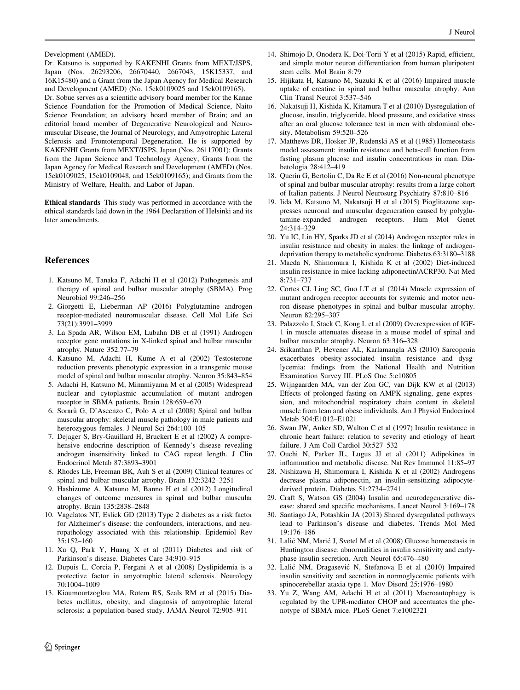<span id="page-7-0"></span>Development (AMED).

Dr. Katsuno is supported by KAKENHI Grants from MEXT/JSPS, Japan (Nos. 26293206, 26670440, 2667043, 15K15337, and 16K15480) and a Grant from the Japan Agency for Medical Research and Development (AMED) (No. 15ek0109025 and 15ek0109165).

Dr. Sobue serves as a scientific advisory board member for the Kanae Science Foundation for the Promotion of Medical Science, Naito Science Foundation; an advisory board member of Brain; and an editorial board member of Degenerative Neurological and Neuromuscular Disease, the Journal of Neurology, and Amyotrophic Lateral Sclerosis and Frontotemporal Degeneration. He is supported by KAKENHI Grants from MEXT/JSPS, Japan (Nos. 26117001); Grants from the Japan Science and Technology Agency; Grants from the Japan Agency for Medical Research and Development (AMED) (Nos. 15ek0109025, 15ek0109048, and 15ek0109165); and Grants from the Ministry of Welfare, Health, and Labor of Japan.

Ethical standards This study was performed in accordance with the ethical standards laid down in the 1964 Declaration of Helsinki and its later amendments.

#### References

- 1. Katsuno M, Tanaka F, Adachi H et al (2012) Pathogenesis and therapy of spinal and bulbar muscular atrophy (SBMA). Prog Neurobiol 99:246–256
- 2. Giorgetti E, Lieberman AP (2016) Polyglutamine androgen receptor-mediated neuromuscular disease. Cell Mol Life Sci 73(21):3991–3999
- 3. La Spada AR, Wilson EM, Lubahn DB et al (1991) Androgen receptor gene mutations in X-linked spinal and bulbar muscular atrophy. Nature 352:77–79
- 4. Katsuno M, Adachi H, Kume A et al (2002) Testosterone reduction prevents phenotypic expression in a transgenic mouse model of spinal and bulbar muscular atrophy. Neuron 35:843–854
- 5. Adachi H, Katsuno M, Minamiyama M et al (2005) Widespread nuclear and cytoplasmic accumulation of mutant androgen receptor in SBMA patients. Brain 128:659–670
- 6. Soraru` G, D'Ascenzo C, Polo A et al (2008) Spinal and bulbar muscular atrophy: skeletal muscle pathology in male patients and heterozygous females. J Neurol Sci 264:100–105
- 7. Dejager S, Bry-Gauillard H, Bruckert E et al (2002) A comprehensive endocrine description of Kennedy's disease revealing androgen insensitivity linked to CAG repeat length. J Clin Endocrinol Metab 87:3893–3901
- 8. Rhodes LE, Freeman BK, Auh S et al (2009) Clinical features of spinal and bulbar muscular atrophy. Brain 132:3242–3251
- 9. Hashizume A, Katsuno M, Banno H et al (2012) Longitudinal changes of outcome measures in spinal and bulbar muscular atrophy. Brain 135:2838–2848
- 10. Vagelatos NT, Eslick GD (2013) Type 2 diabetes as a risk factor for Alzheimer's disease: the confounders, interactions, and neuropathology associated with this relationship. Epidemiol Rev 35:152–160
- 11. Xu Q, Park Y, Huang X et al (2011) Diabetes and risk of Parkinson's disease. Diabetes Care 34:910–915
- 12. Dupuis L, Corcia P, Fergani A et al (2008) Dyslipidemia is a protective factor in amyotrophic lateral sclerosis. Neurology 70:1004–1009
- 13. Kioumourtzoglou MA, Rotem RS, Seals RM et al (2015) Diabetes mellitus, obesity, and diagnosis of amyotrophic lateral sclerosis: a population-based study. JAMA Neurol 72:905–911
- 14. Shimojo D, Onodera K, Doi-Torii Y et al (2015) Rapid, efficient, and simple motor neuron differentiation from human pluripotent stem cells. Mol Brain 8:79
- 15. Hijikata H, Katsuno M, Suzuki K et al (2016) Impaired muscle uptake of creatine in spinal and bulbar muscular atrophy. Ann Clin Transl Neurol 3:537–546
- 16. Nakatsuji H, Kishida K, Kitamura T et al (2010) Dysregulation of glucose, insulin, triglyceride, blood pressure, and oxidative stress after an oral glucose tolerance test in men with abdominal obesity. Metabolism 59:520–526
- 17. Matthews DR, Hosker JP, Rudenski AS et al (1985) Homeostasis model assessment: insulin resistance and beta-cell function from fasting plasma glucose and insulin concentrations in man. Diabetologia 28:412–419
- 18. Querin G, Bertolin C, Da Re E et al (2016) Non-neural phenotype of spinal and bulbar muscular atrophy: results from a large cohort of Italian patients. J Neurol Neurosurg Psychiatry 87:810–816
- 19. Iida M, Katsuno M, Nakatsuji H et al (2015) Pioglitazone suppresses neuronal and muscular degeneration caused by polyglutamine-expanded androgen receptors. Hum Mol Genet 24:314–329
- 20. Yu IC, Lin HY, Sparks JD et al (2014) Androgen receptor roles in insulin resistance and obesity in males: the linkage of androgendeprivation therapy to metabolic syndrome. Diabetes 63:3180–3188
- 21. Maeda N, Shimomura I, Kishida K et al (2002) Diet-induced insulin resistance in mice lacking adiponectin/ACRP30. Nat Med 8:731–737
- 22. Cortes CJ, Ling SC, Guo LT et al (2014) Muscle expression of mutant androgen receptor accounts for systemic and motor neuron disease phenotypes in spinal and bulbar muscular atrophy. Neuron 82:295–307
- 23. Palazzolo I, Stack C, Kong L et al (2009) Overexpression of IGF-1 in muscle attenuates disease in a mouse model of spinal and bulbar muscular atrophy. Neuron 63:316–328
- 24. Srikanthan P, Hevener AL, Karlamangla AS (2010) Sarcopenia exacerbates obesity-associated insulin resistance and dysglycemia: findings from the National Health and Nutrition Examination Survey III. PLoS One 5:e10805
- 25. Wijngaarden MA, van der Zon GC, van Dijk KW et al (2013) Effects of prolonged fasting on AMPK signaling, gene expression, and mitochondrial respiratory chain content in skeletal muscle from lean and obese individuals. Am J Physiol Endocrinol Metab 304:E1012–E1021
- 26. Swan JW, Anker SD, Walton C et al (1997) Insulin resistance in chronic heart failure: relation to severity and etiology of heart failure. J Am Coll Cardiol 30:527–532
- 27. Ouchi N, Parker JL, Lugus JJ et al (2011) Adipokines in inflammation and metabolic disease. Nat Rev Immunol 11:85–97
- 28. Nishizawa H, Shimomura I, Kishida K et al (2002) Androgens decrease plasma adiponectin, an insulin-sensitizing adipocytederived protein. Diabetes 51:2734–2741
- 29. Craft S, Watson GS (2004) Insulin and neurodegenerative disease: shared and specific mechanisms. Lancet Neurol 3:169–178
- 30. Santiago JA, Potashkin JA (2013) Shared dysregulated pathways lead to Parkinson's disease and diabetes. Trends Mol Med 19:176–186
- 31. Lalic´ NM, Maric´ J, Svetel M et al (2008) Glucose homeostasis in Huntington disease: abnormalities in insulin sensitivity and earlyphase insulin secretion. Arch Neurol 65:476–480
- 32. Lalic´ NM, Dragasevic´ N, Stefanova E et al (2010) Impaired insulin sensitivity and secretion in normoglycemic patients with spinocerebellar ataxia type 1. Mov Disord 25:1976–1980
- 33. Yu Z, Wang AM, Adachi H et al (2011) Macroautophagy is regulated by the UPR-mediator CHOP and accentuates the phenotype of SBMA mice. PLoS Genet 7:e1002321